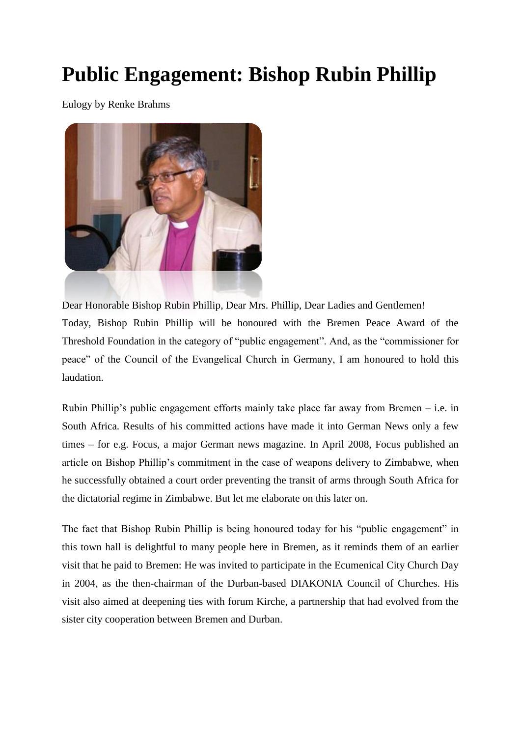## **Public Engagement: Bishop Rubin Phillip**

Eulogy by Renke Brahms



[Dear Honorable Bishop Rubin Phillip, Dear Mrs](http://dieschwelle.de/index.php?eID=tx_cms_showpic&file=uploads/pics/FP_09_Pillip1_02.jpg&md5=d18e9e7cc9d648f2fb608c34537b42fe299e768f¶meters[0]=YTo0OntzOjU6IndpZHRoIjtzOjQ6IjgwMG0iO3M6NjoiaGVpZ2h0IjtzOjQ6IjYw¶meters[1]=MG0iO3M6NzoiYm9keVRhZyI7czo0MToiPGJvZHkgc3R5bGU9Im1hcmdpbjowOyBi¶meters[2]=YWNrZ3JvdW5kOiNmZmY7Ij4iO3M6NDoid3JhcCI7czozNzoiPGEgaHJlZj0iamF2¶meters[3]=YXNjcmlwdDpjbG9zZSgpOyI+IHwgPC9hPiI7fQ==). Phillip, Dear Ladies and Gentlemen! Today, Bishop Rubin Phillip will be honoured with the Bremen Peace Award of the Threshold Foundation in the category of "public engagement". And, as the "commissioner for peace" of the Council of the Evangelical Church in Germany, I am honoured to hold this laudation.

Rubin Phillip's public engagement efforts mainly take place far away from Bremen – i.e. in South Africa. Results of his committed actions have made it into German News only a few times – for e.g. Focus, a major German news magazine. In April 2008, Focus published an article on Bishop Phillip's commitment in the case of weapons delivery to Zimbabwe, when he successfully obtained a court order preventing the transit of arms through South Africa for the dictatorial regime in Zimbabwe. But let me elaborate on this later on.

The fact that Bishop Rubin Phillip is being honoured today for his "public engagement" in this town hall is delightful to many people here in Bremen, as it reminds them of an earlier visit that he paid to Bremen: He was invited to participate in the Ecumenical City Church Day in 2004, as the then-chairman of the Durban-based DIAKONIA Council of Churches. His visit also aimed at deepening ties with forum Kirche, a partnership that had evolved from the sister city cooperation between Bremen and Durban.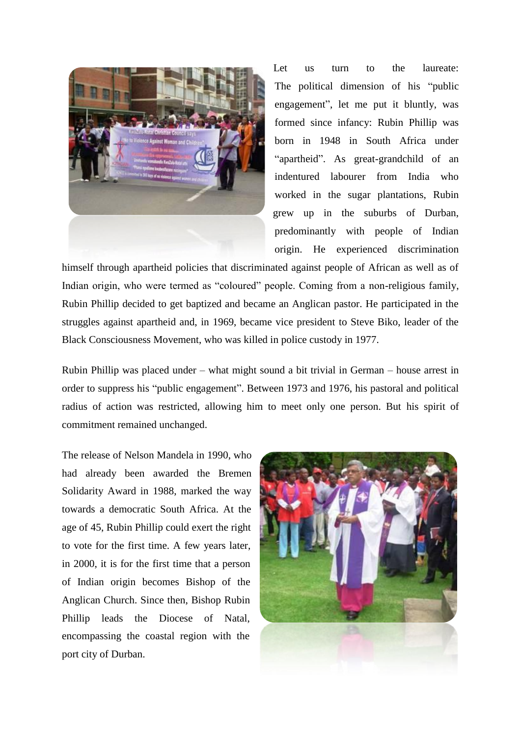

Let us turn to the laureate: The political dimension of his "public engagement", let me put it bluntly, was formed since infancy: Rubin Phillip was born in 1948 in South Africa under "apartheid". As great-grandchild of an indentured labourer from India who worked in the sugar plantations, Rubin grew up in the suburbs of Durban, predominantly with people of Indian origin. He experienced discrimination

h[imself through apartheid policies that discrimin](http://dieschwelle.de/index.php?eID=tx_cms_showpic&file=uploads/pics/FP_09_Pillip2_01.jpg&md5=9d59455938ec8f7aa8a1ded3d704074eb25d0691¶meters[0]=YTo0OntzOjU6IndpZHRoIjtzOjQ6IjgwMG0iO3M6NjoiaGVpZ2h0IjtzOjQ6IjYw¶meters[1]=MG0iO3M6NzoiYm9keVRhZyI7czo0MToiPGJvZHkgc3R5bGU9Im1hcmdpbjowOyBi¶meters[2]=YWNrZ3JvdW5kOiNmZmY7Ij4iO3M6NDoid3JhcCI7czozNzoiPGEgaHJlZj0iamF2¶meters[3]=YXNjcmlwdDpjbG9zZSgpOyI+IHwgPC9hPiI7fQ==)ated against people of African as well as of Indian origin, who were termed as "coloured" people. Coming from a non-religious family, Rubin Phillip decided to get baptized and became an Anglican pastor. He participated in the struggles against apartheid and, in 1969, became vice president to Steve Biko, leader of the Black Consciousness Movement, who was killed in police custody in 1977.

Rubin Phillip was placed under – what might sound a bit trivial in German – house arrest in order to suppress his "public engagement". Between 1973 and 1976, his pastoral and political radius of action was restricted, allowing him to meet only one person. But his spirit of commitment remained unchanged.

The release of Nelson Mandela in 1990, who had already been awarded the Bremen Solidarity Award in 1988, marked the way towards a democratic South Africa. At the age of 45, Rubin Phillip could exert the right to vote for the first time. A few years later, in 2000, it is for the first time that a person of Indian origin becomes Bishop of the Anglican Church. Since then, Bishop Rubin Phillip leads the Diocese of Natal, encompassing the coastal region with the port city of Durban.

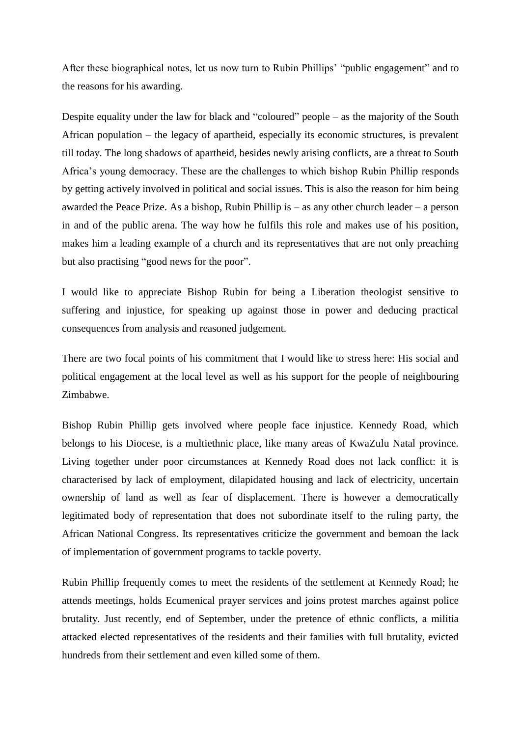After these biographical notes, let us now turn to Rubin Phillips' "public engagement" and to the reasons for his awarding.

Despite equality under the law for black and "coloured" people – as the majority of the South African population – the legacy of apartheid, especially its economic structures, is prevalent till today. The long shadows of apartheid, besides newly arising conflicts, are a threat to South Africa's young democracy. These are the challenges to which bishop Rubin Phillip responds by getting actively involved in political and social issues. This is also the reason for him being awarded the Peace Prize. As a bishop, Rubin Phillip is – as any other church leader – a person in and of the public arena. The way how he fulfils this role and makes use of his position, makes him a leading example of a church and its representatives that are not only preaching but also practising "good news for the poor".

I would like to appreciate Bishop Rubin for being a Liberation theologist sensitive to suffering and injustice, for speaking up against those in power and deducing practical consequences from analysis and reasoned judgement.

There are two focal points of his commitment that I would like to stress here: His social and political engagement at the local level as well as his support for the people of neighbouring Zimbabwe.

Bishop Rubin Phillip gets involved where people face injustice. Kennedy Road, which belongs to his Diocese, is a multiethnic place, like many areas of KwaZulu Natal province. Living together under poor circumstances at Kennedy Road does not lack conflict: it is characterised by lack of employment, dilapidated housing and lack of electricity, uncertain ownership of land as well as fear of displacement. There is however a democratically legitimated body of representation that does not subordinate itself to the ruling party, the African National Congress. Its representatives criticize the government and bemoan the lack of implementation of government programs to tackle poverty.

Rubin Phillip frequently comes to meet the residents of the settlement at Kennedy Road; he attends meetings, holds Ecumenical prayer services and joins protest marches against police brutality. Just recently, end of September, under the pretence of ethnic conflicts, a militia attacked elected representatives of the residents and their families with full brutality, evicted hundreds from their settlement and even killed some of them.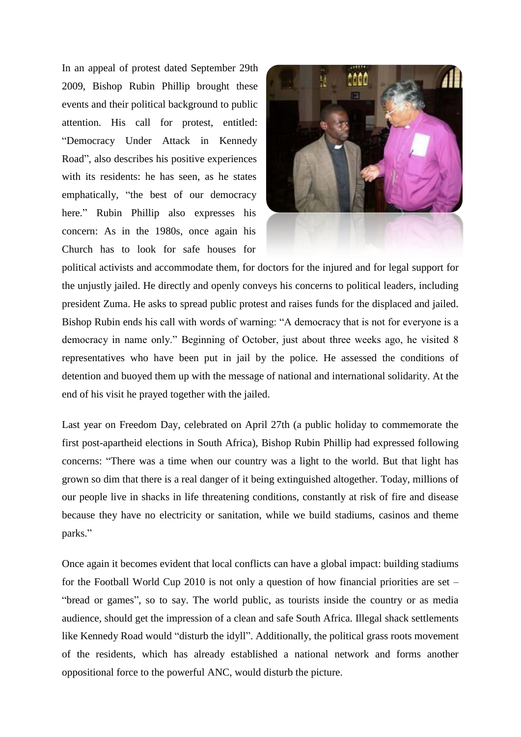In an appeal of protest dated September 29th 2009, Bishop Rubin Phillip brought these events and their political background to public attention. His call for protest, entitled: "Democracy Under Attack in Kennedy Road", also describes his positive experiences with its residents: he has seen, as he states emphatically, "the best of our democracy here." Rubin Phillip also expresses his concern: As in the 1980s, once again his Church has to look for safe houses for



political activists and accommodate them, for doctors for the injured and for legal support for the unjustly jailed. He directly and openly conveys his concerns to political leaders, including president Zuma. He asks to spread public protest and raises funds for the displaced and jailed. Bishop Rubin ends his call with words of warning: "A democracy that is not for everyone is a democracy in name only." Beginning of October, just about three weeks ago, he visited 8 representatives who have been put in jail by the police. He assessed the conditions of detention and buoyed them up with the message of national and international solidarity. At the end of his visit he prayed together with the jailed.

Last year on Freedom Day, celebrated on April 27th (a public holiday to commemorate the first post-apartheid elections in South Africa), Bishop Rubin Phillip had expressed following concerns: "There was a time when our country was a light to the world. But that light has grown so dim that there is a real danger of it being extinguished altogether. Today, millions of our people live in shacks in life threatening conditions, constantly at risk of fire and disease because they have no electricity or sanitation, while we build stadiums, casinos and theme parks."

Once again it becomes evident that local conflicts can have a global impact: building stadiums for the Football World Cup 2010 is not only a question of how financial priorities are set – "bread or games", so to say. The world public, as tourists inside the country or as media audience, should get the impression of a clean and safe South Africa. Illegal shack settlements like Kennedy Road would "disturb the idyll". Additionally, the political grass roots movement of the residents, which has already established a national network and forms another oppositional force to the powerful ANC, would disturb the picture.